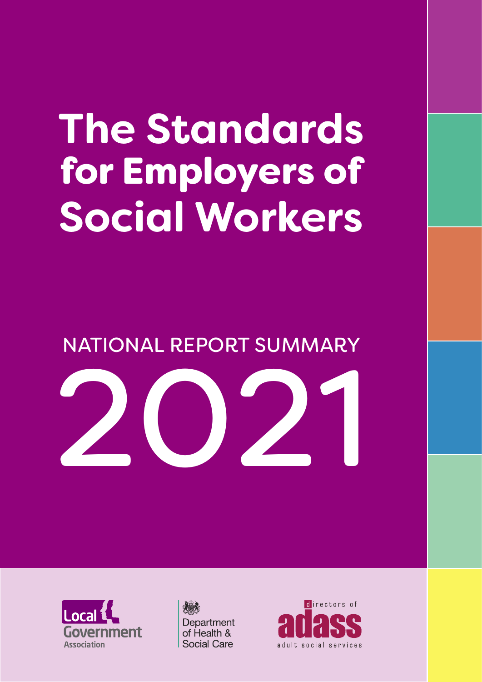## **The Standards** for Employers of **Social Workers**

NATIONAL REPORT SUMMARY





Department of Health & Social Care

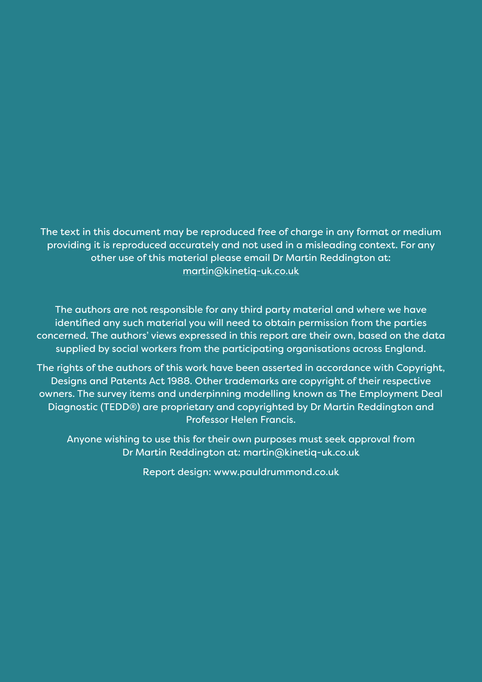The text in this document may be reproduced free of charge in any format or medium providing it is reproduced accurately and not used in a misleading context. For any other use of this material please email Dr Martin Reddington at: martin@kinetiq-uk.co.uk

The authors are not responsible for any third party material and where we have identified any such material you will need to obtain permission from the parties concerned. The authors' views expressed in this report are their own, based on the data supplied by social workers from the participating organisations across England.

The rights of the authors of this work have been asserted in accordance with Copyright, Designs and Patents Act 1988. Other trademarks are copyright of their respective owners. The survey items and underpinning modelling known as The Employment Deal Diagnostic (TEDD®) are proprietary and copyrighted by Dr Martin Reddington and Professor Helen Francis.

Anyone wishing to use this for their own purposes must seek approval from Dr Martin Reddington at: martin@kinetiq-uk.co.uk

Report design: www.pauldrummond.co.uk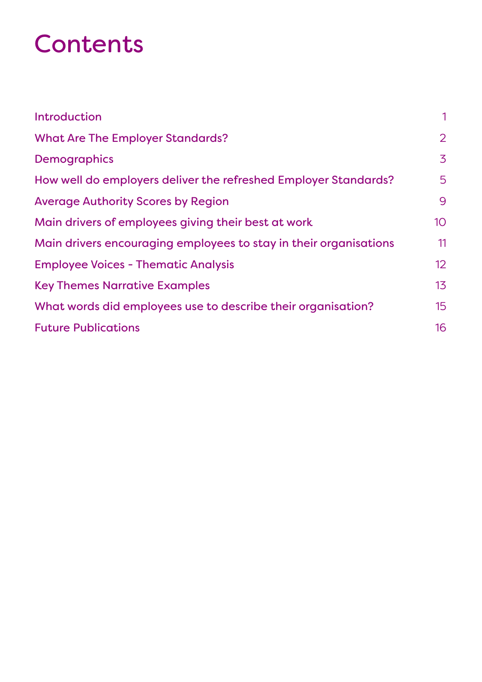## Contents

| Introduction                                                      | 1               |
|-------------------------------------------------------------------|-----------------|
| <b>What Are The Employer Standards?</b>                           | 2               |
| <b>Demographics</b>                                               | 3               |
| How well do employers deliver the refreshed Employer Standards?   | 5               |
| <b>Average Authority Scores by Region</b>                         | 9               |
| Main drivers of employees giving their best at work               | 10 <sup>°</sup> |
| Main drivers encouraging employees to stay in their organisations | 11              |
| <b>Employee Voices - Thematic Analysis</b>                        | 12              |
| <b>Key Themes Narrative Examples</b>                              | 13              |
| What words did employees use to describe their organisation?      | 15              |
| <b>Future Publications</b>                                        | 16              |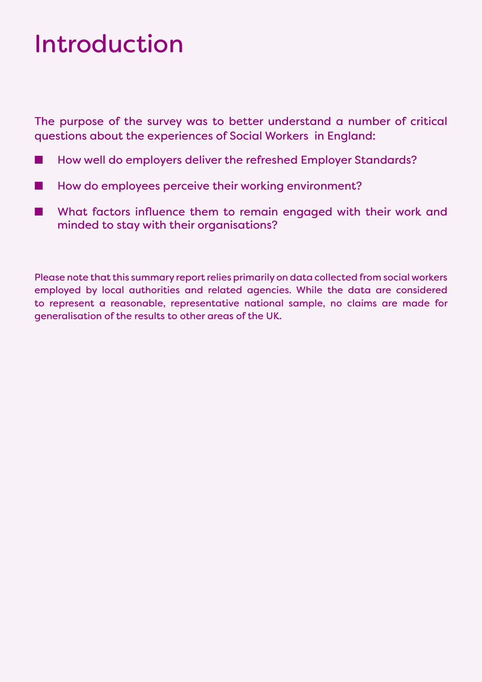## <span id="page-3-0"></span>Introduction

The purpose of the survey was to better understand a number of critical questions about the experiences of Social Workers in England:

- How well do employers deliver the refreshed Employer Standards?
- How do employees perceive their working environment?
- What factors influence them to remain engaged with their work and minded to stay with their organisations?

Please note that this summary report relies primarily on data collected from social workers employed by local authorities and related agencies. While the data are considered to represent a reasonable, representative national sample, no claims are made for generalisation of the results to other areas of the UK.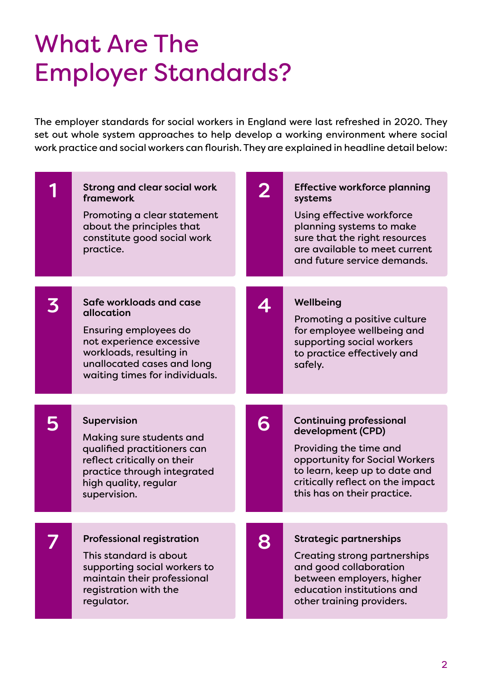## <span id="page-4-0"></span>What Are The Employer Standards?

The employer standards for social workers in England were last refreshed in 2020. They set out whole system approaches to help develop a working environment where social work practice and social workers can flourish. They are explained in headline detail below:

| <b>Strong and clear social work</b><br>framework<br>Promoting a clear statement<br>about the principles that<br>constitute good social work<br>practice.                              |   | <b>Effective workforce planning</b><br>systems<br>Using effective workforce<br>planning systems to make<br>sure that the right resources<br>are available to meet current<br>and future service demands.            |
|---------------------------------------------------------------------------------------------------------------------------------------------------------------------------------------|---|---------------------------------------------------------------------------------------------------------------------------------------------------------------------------------------------------------------------|
| Safe workloads and case<br>allocation<br>Ensuring employees do<br>not experience excessive<br>workloads, resulting in<br>unallocated cases and long<br>waiting times for individuals. |   | Wellbeing<br>Promoting a positive culture<br>for employee wellbeing and<br>supporting social workers<br>to practice effectively and<br>safely.                                                                      |
| <b>Supervision</b><br>Making sure students and<br>qualified practitioners can<br>reflect critically on their<br>practice through integrated<br>high quality, regular<br>supervision.  | 6 | <b>Continuing professional</b><br>development (CPD)<br>Providing the time and<br>opportunity for Social Workers<br>to learn, keep up to date and<br>critically reflect on the impact<br>this has on their practice. |
| <b>Professional registration</b><br>This standard is about<br>supporting social workers to<br>maintain their professional<br>registration with the<br>regulator.                      | 8 | <b>Strategic partnerships</b><br><b>Creating strong partnerships</b><br>and good collaboration<br>between employers, higher<br>education institutions and<br>other training providers.                              |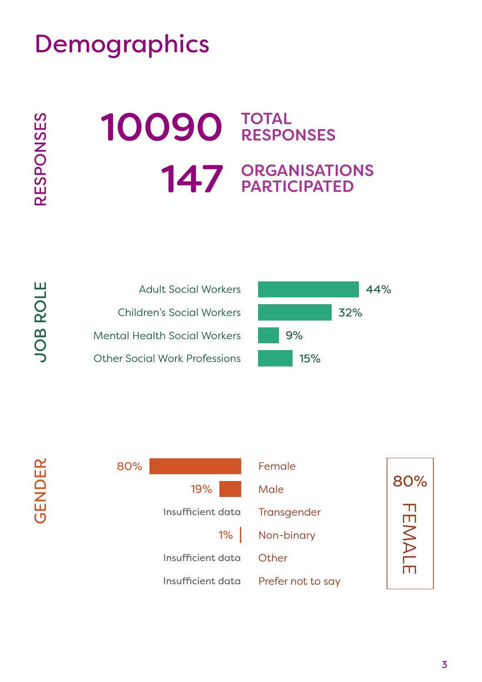<span id="page-5-0"></span>

**RESPONSES** RESPONSES

OLE

JOB R

GENDER

**GENDER** 

# 10090 TOTAL RESPONSES 147 ORGANISATIONS PARTICIPATED





3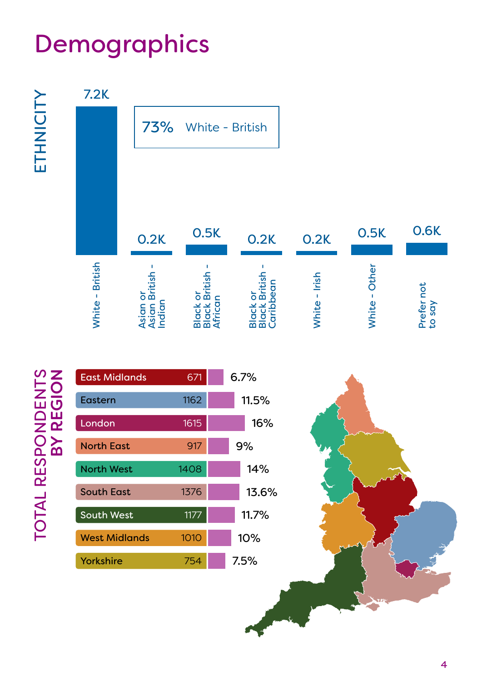ETHNICITY ETHNICITY



# TOTAL RESPONDENTS<br>BY REGION TOTAL RESPONDENTS<br>BY REGION

| <b>East Midlands</b> | 671  | $6.7\%$ |       |  |
|----------------------|------|---------|-------|--|
| Eastern              | 1162 | 11.5%   |       |  |
| London               | 1615 |         | 16%   |  |
| <b>North East</b>    | 917  |         | 9%    |  |
| <b>North West</b>    | 1408 |         | 14%   |  |
| <b>South East</b>    | 1376 |         | 13.6% |  |
| <b>South West</b>    | 1177 |         | 11.7% |  |
| <b>West Midlands</b> | 1010 |         | 10%   |  |
| Yorkshire            | 754  |         | 7.5%  |  |

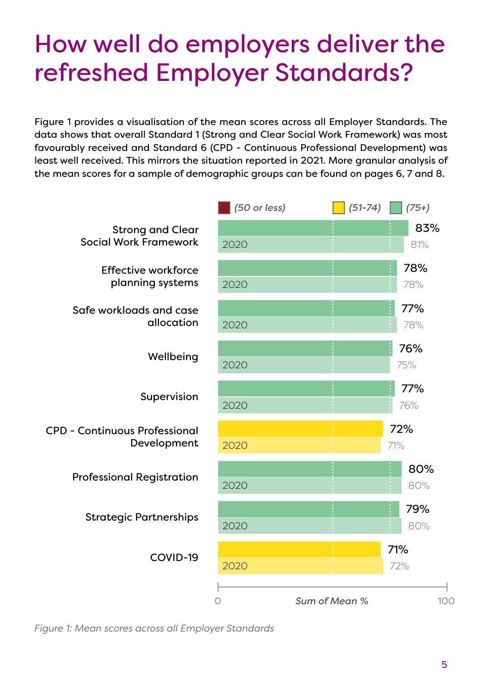## <span id="page-7-0"></span>How well do employers deliver the refreshed Employer Standards?

Figure 1 provides a visualisation of the mean scores across all Employer Standards. The data shows that overall Standard 1 (Strong and Clear Social Work Framework) was most favourably received and Standard 6 (CPD - Continuous Professional Development) was least well received. This mirrors the situation reported in 2021. More granular analysis of the mean scores for a sample of demographic groups can be found on pages 6, 7 and 8.



*Figure 1: Mean scores across all Employer Standards*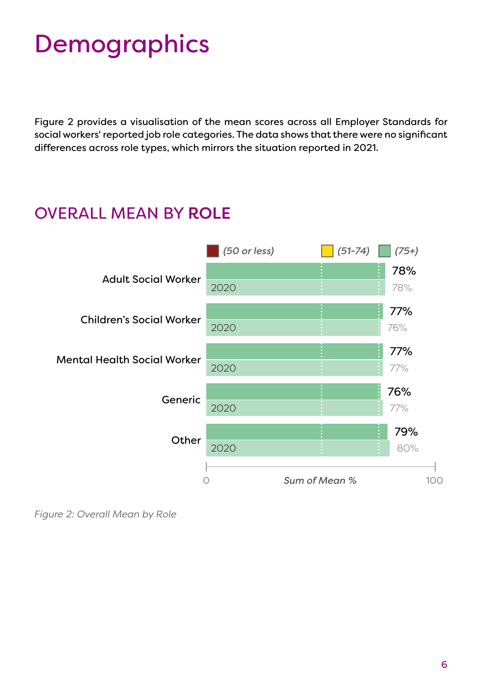Figure 2 provides a visualisation of the mean scores across all Employer Standards for social workers' reported job role categories. The data shows that there were no significant differences across role types, which mirrors the situation reported in 2021.

#### OVERALL MEAN BY ROLE



*Figure 2: Overall Mean by Role*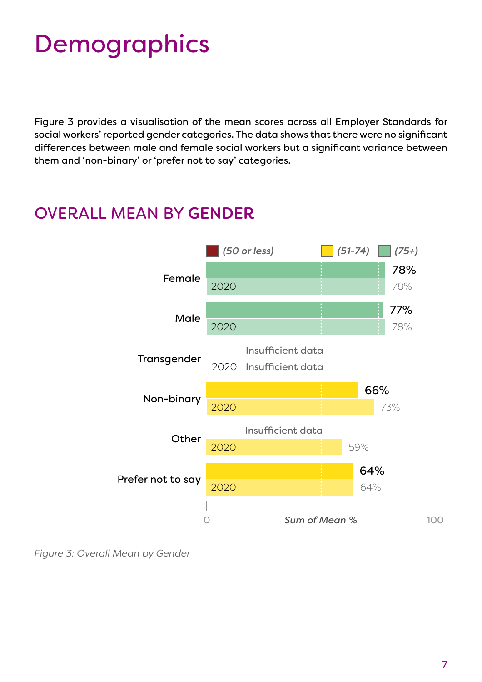Figure 3 provides a visualisation of the mean scores across all Employer Standards for social workers' reported gender categories. The data shows that there were no significant differences between male and female social workers but a significant variance between them and 'non-binary' or 'prefer not to say' categories.

#### Female Male 77% 78% 78% 78% Transgender Non-binary **Other** Prefer not to say 0 *Sum of Mean %* 100 *(50 or less) (51-74) (75+)* Insufficient data 2020 Insufficient data Insufficient data 2020 2020 2020 2020 2020 66% 73% 59% 64% 64%

#### OVERALL MEAN BY GENDER

*Figure 3: Overall Mean by Gender*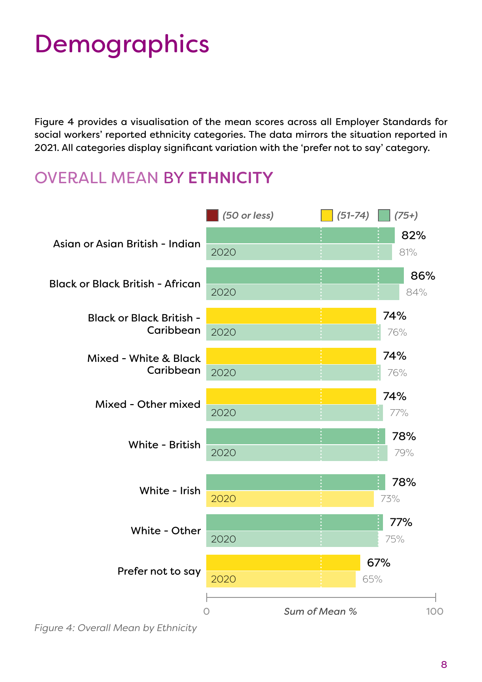Figure 4 provides a visualisation of the mean scores across all Employer Standards for social workers' reported ethnicity categories. The data mirrors the situation reported in 2021. All categories display significant variation with the 'prefer not to say' category.

#### OVERALL MEAN BY ETHNICITY



*Figure 4: Overall Mean by Ethnicity*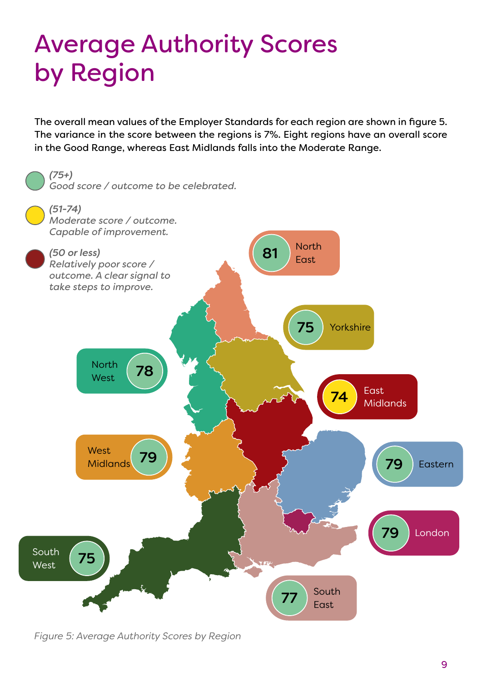## <span id="page-11-0"></span>Average Authority Scores by Region

The overall mean values of the Employer Standards for each region are shown in figure 5. The variance in the score between the regions is 7%. Eight regions have an overall score in the Good Range, whereas East Midlands falls into the Moderate Range.



*Figure 5: Average Authority Scores by Region*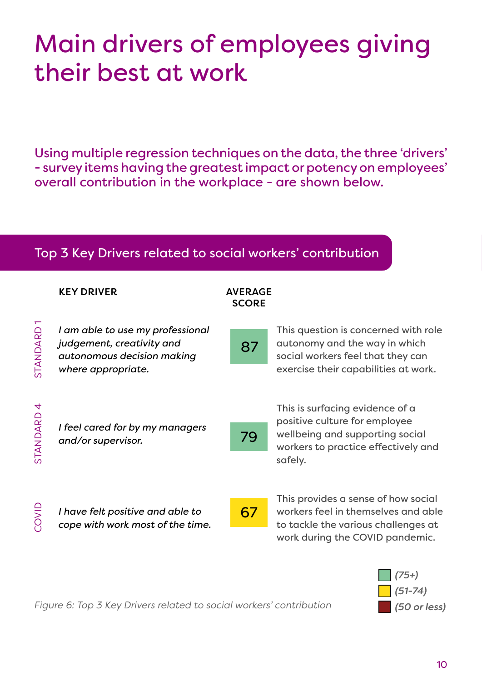## <span id="page-12-0"></span>Main drivers of employees giving their best at work

Using multiple regression techniques on the data, the three 'drivers' - survey items having the greatest impact or potency on employees' overall contribution in the workplace - are shown below.

#### Top 3 Key Drivers related to social workers' contribution

KEY DRIVER AVERAGE

|                       | NEI VINVEIN                                                                                                       | AVERAGE<br><b>SCORE</b> |                                                                                                                                                       |
|-----------------------|-------------------------------------------------------------------------------------------------------------------|-------------------------|-------------------------------------------------------------------------------------------------------------------------------------------------------|
| STANDARD              | I am able to use my professional<br>judgement, creativity and<br>autonomous decision making<br>where appropriate. | 87                      | This question is concerned with role<br>autonomy and the way in which<br>social workers feel that they can<br>exercise their capabilities at work.    |
| STANDARD <sub>4</sub> | I feel cared for by my managers<br>and/or supervisor.                                                             | 79                      | This is surfacing evidence of a<br>positive culture for employee<br>wellbeing and supporting social<br>workers to practice effectively and<br>safely. |
| COVID                 | I have felt positive and able to<br>cope with work most of the time.                                              | 67                      | This provides a sense of how social<br>workers feel in themselves and able<br>to tackle the various challenges at<br>work during the COVID pandemic.  |



*Figure 6: Top 3 Key Drivers related to social workers' contribution*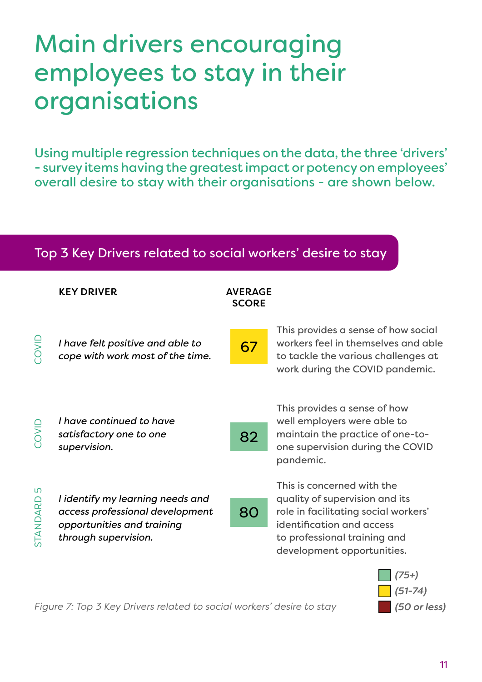## <span id="page-13-0"></span>Main drivers encouraging employees to stay in their organisations

Using multiple regression techniques on the data, the three 'drivers' - survey items having the greatest impact or potency on employees' overall desire to stay with their organisations - are shown below.

#### Top 3 Key Drivers related to social workers' desire to stay

|                | <b>KEY DRIVER</b>                                                                                                         | <b>AVERAGE</b><br><b>SCORE</b> |                                                                                                                                                                                                 |
|----------------|---------------------------------------------------------------------------------------------------------------------------|--------------------------------|-------------------------------------------------------------------------------------------------------------------------------------------------------------------------------------------------|
| <b>OWD</b>     | I have felt positive and able to<br>cope with work most of the time.                                                      | 67                             | This provides a sense of how social<br>workers feel in themselves and able<br>to tackle the various challenges at<br>work during the COVID pandemic.                                            |
| COVID          | I have continued to have<br>satisfactory one to one<br>supervision.                                                       | 82                             | This provides a sense of how<br>well employers were able to<br>maintain the practice of one-to-<br>one supervision during the COVID<br>pandemic.                                                |
| IJ<br>STANDARD | I identify my learning needs and<br>access professional development<br>opportunities and training<br>through supervision. | 80                             | This is concerned with the<br>quality of supervision and its<br>role in facilitating social workers'<br>identification and access<br>to professional training and<br>development opportunities. |
|                |                                                                                                                           |                                | (75+)                                                                                                                                                                                           |



*Figure 7: Top 3 Key Drivers related to social workers' desire to stay*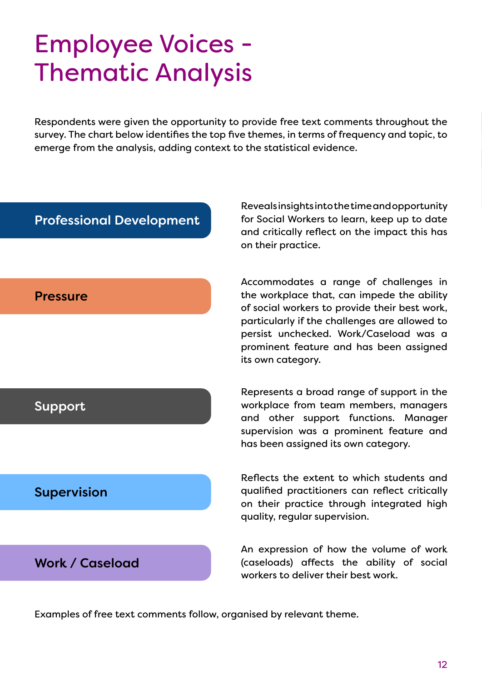## <span id="page-14-0"></span>Employee Voices - Thematic Analysis

Respondents were given the opportunity to provide free text comments throughout the survey. The chart below identifies the top five themes, in terms of frequency and topic, to emerge from the analysis, adding context to the statistical evidence.

#### Professional Development

Reveals insights into the time and opportunity for Social Workers to learn, keep up to date and critically reflect on the impact this has on their practice.

#### Pressure

Accommodates a range of challenges in the workplace that, can impede the ability of social workers to provide their best work, particularly if the challenges are allowed to persist unchecked. Work/Caseload was a prominent feature and has been assigned its own category.

#### Support

Represents a broad range of support in the workplace from team members, managers and other support functions. Manager supervision was a prominent feature and has been assigned its own category.

Reflects the extent to which students and qualified practitioners can reflect critically

#### Supervision

on their practice through integrated high quality, regular supervision.

#### Work / Caseload

An expression of how the volume of work (caseloads) affects the ability of social workers to deliver their best work.

Examples of free text comments follow, organised by relevant theme.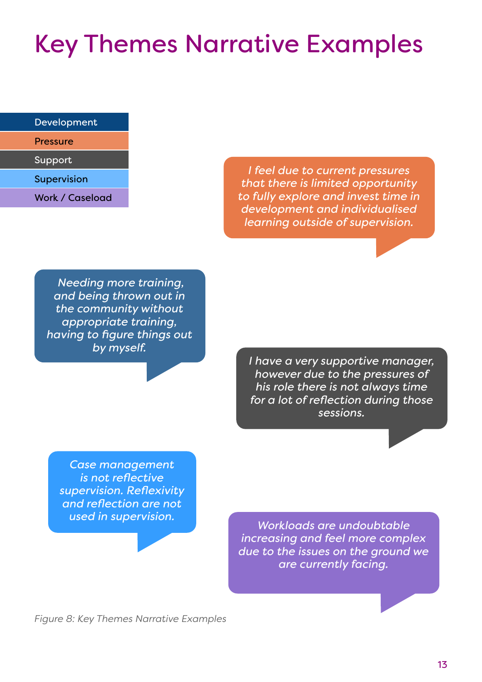## <span id="page-15-0"></span>Key Themes Narrative Examples

| Development |  |
|-------------|--|
|-------------|--|

| Pressure |  |
|----------|--|
|          |  |

Support

Supervision

Work / Caseload

*I feel due to current pressures that there is limited opportunity to fully explore and invest time in development and individualised learning outside of supervision.*

 *Needing more training, and being thrown out in the community without appropriate training, having to figure things out by myself.*

*I have a very supportive manager, however due to the pressures of his role there is not always time for a lot of reflection during those sessions.*

*Case management is not reflective supervision. Reflexivity and reflection are not* 

*used in supervision. Workloads are undoubtable increasing and feel more complex due to the issues on the ground we are currently facing.*

*Figure 8: Key Themes Narrative Examples*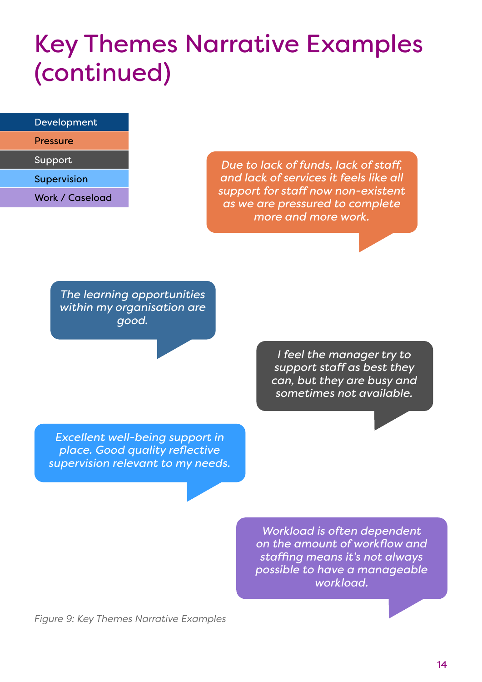### Key Themes Narrative Examples (continued)

#### Development

Pressure

Support

Supervision

Work / Caseload

*Due to lack of funds, lack of staff, and lack of services it feels like all support for staff now non-existent as we are pressured to complete more and more work.*

*The learning opportunities within my organisation are good.*

> *I feel the manager try to support staff as best they can, but they are busy and sometimes not available.*

*Excellent well-being support in place. Good quality reflective supervision relevant to my needs.*

> *Workload is often dependent on the amount of workflow and staffing means it's not always possible to have a manageable workload.*

*Figure 9: Key Themes Narrative Examples*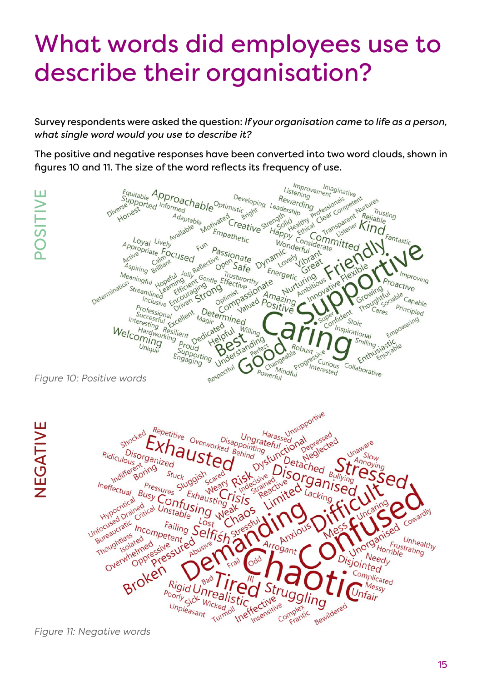## <span id="page-17-0"></span>What words did employees use to describe their organisation?

Survey respondents were asked the question: *If your organisation came to life as a person, what single word would you use to describe it?*

The positive and negative responses have been converted into two word clouds, shown in figures 10 and 11. The size of the word reflects its frequency of use.

Improvement<br>tening Imaginative<br><sup>Ient</sup> Equitable Approachable Dever<br>Supported Informed<br>Adaptable Adaptable and B Listening POSITIVE Developing Leadership<br>Istic<sub>sidn</sub>t Leadership Professionals ement sinative<br>Indiesionals competent Transparent King Rewarding POSITIV erse nest *<u>Sright</u>* Trusting<br>able readership "grotess" Reliable Adaptable Motivated S Bright Strength sparence Kindle antastic Empathetic Committed Wonderful<br>
inc derful Loyal Livel Appropriate Focused<br>Aspiring Calment<br>Aspiring Billiant Passionate Oynamic Aspiring British Jolly Reflective open Safe Energetic the Companies of the third And the Companies of the Effective state of the Effective state of the Engineer of the Companies of the Engineer of the Companies of the Companies of the Companies of the Most Companies of the Mo Trustworthy getic Gives Improving eaningful Hopeful Jo Determination Euring<br>Ambitious July vorening entirely roactive Growing passion Amazing .<br>Capable Professional Principled Determined Cares fident Frofessional<br>Successful<br>teresting p EX Magic Empowering Interesting Resilient Dunique Support Stoic Cated full Willing Inspirational Welcoming<br> *Welcoming* tional Empo<br>Smiling jastic<br>Enthusiagriche<br>Faborative smiling Unique **Berstand** Robust Froud<br>Supporting<br>ngaging Engaging Progress Curious Collaborative Respectful Interested  $C_{\mathcal{U}_S}$ Mindful<br>Tul Powerful *Figure 10: Positive words* Harass unsupportive Repetitive Overworked Behind **NEGATIVE** TIVEAGNE Privessed<br>Depressed<br>Depressed Ungrateful<br>Pointing al pressed<br>Depressed<br>Neglected Unaware rhaus Ridiculous Kidiculous Disorganized  $S_{\text{low}}$ Annoying Detached Stuck ganis Ineffectual Pressures Busy Confusing Exhausting Lacking Hypocritical Unfocused Drained ned Unstable Cowardly Hyred Die Failing S Incompetent of Arrogant nfoceaucra<br>Bureaucrass<br>Thoughtless ntless<br>Isolated Unhealthy Overwhelmed Frustrating<br>rible 2 Horrible Needy isjointed Broken Complicated Rigid L Messy Poorly sick nfair stic crive 'stic Wicked fective<br>Insensitive ve Complex Bewildered Unpleasant Turnoil

*Figure 11: Negative words*